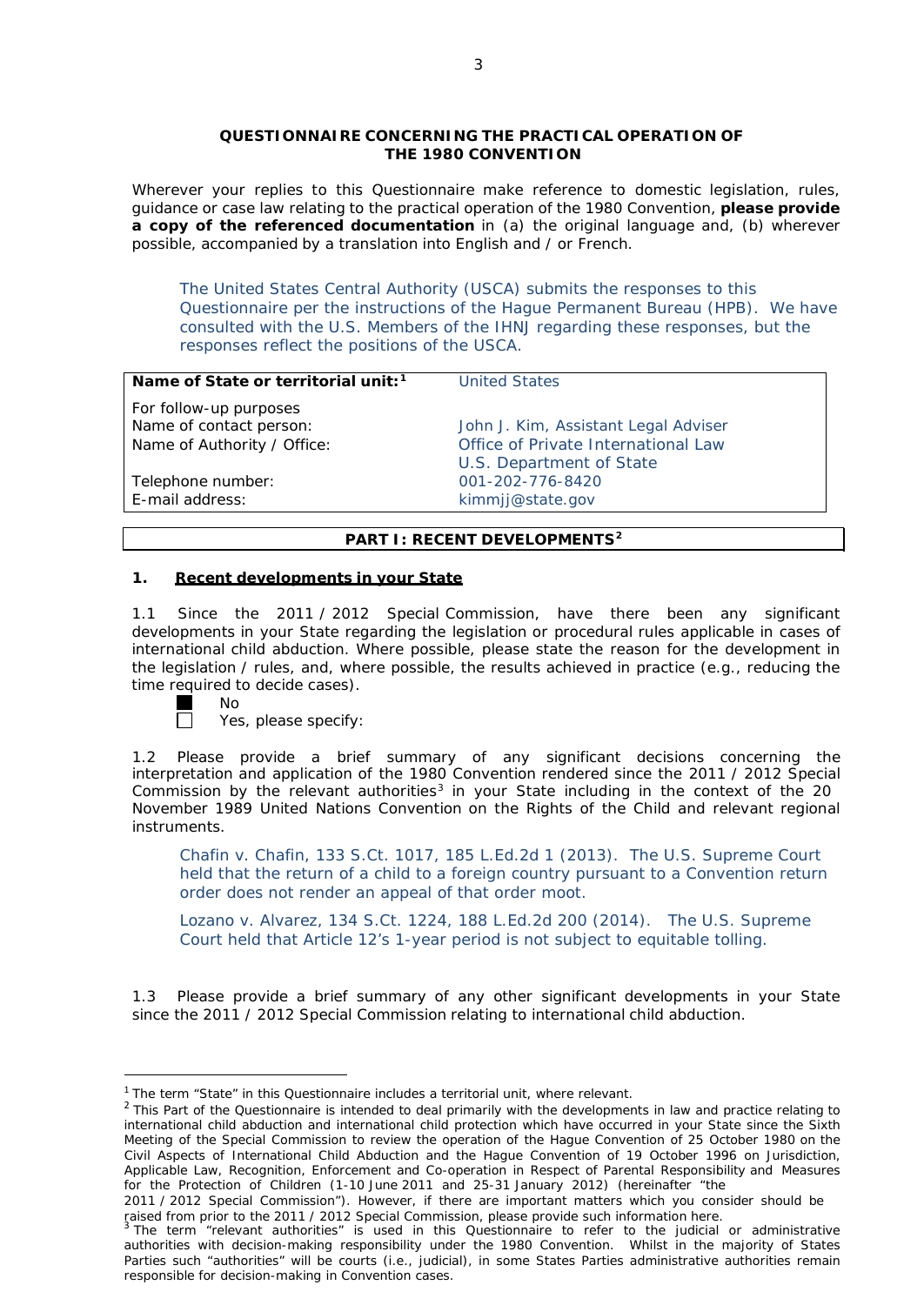### **QUESTIONNAIRE CONCERNING THE PRACTICAL OPERATION OF THE 1980 CONVENTION**

*Wherever your replies to this Questionnaire make reference to domestic legislation, rules, guidance or case law relating to the practical operation of the 1980 Convention, please provide a copy of the referenced documentation in (a) the original language and, (b) wherever possible, accompanied by a translation into English and / or French.*

The United States Central Authority (USCA) submits the responses to this Questionnaire per the instructions of the Hague Permanent Bureau (HPB). We have consulted with the U.S. Members of the IHNJ regarding these responses, but the responses reflect the positions of the USCA.

| Name of State or territorial unit: <sup>1</sup> | <b>United States</b>                 |
|-------------------------------------------------|--------------------------------------|
| For follow-up purposes                          |                                      |
| Name of contact person:                         | John J. Kim, Assistant Legal Adviser |
| Name of Authority / Office:                     | Office of Private International Law  |
|                                                 | U.S. Department of State             |
| Telephone number:                               | 001-202-776-8420                     |
| E-mail address:                                 | kimmjj@state.gov                     |
|                                                 |                                      |

## **PART I: RECENT DEVELOPMENTS[2](#page-0-1)**

### **1. Recent developments in your State**

1.1 Since the 2011 / 2012 Special Commission, have there been any significant developments in your State regarding the legislation or procedural rules applicable in cases of international child abduction. Where possible, please state the reason for the development in the legislation / rules, and, where possible, the results achieved in practice (*e.g.*, reducing the time required to decide cases).

 $\Box$ 

No

Yes, please specify:

1.2 Please provide a brief summary of any significant decisions concerning the interpretation and application of the 1980 Convention rendered since the 2011 / 2012 Special Commission by the relevant authorities<sup>[3](#page-0-2)</sup> in your State including in the context of the 20 November 1989 United Nations Convention on the Rights of the Child and relevant regional instruments.

[Chafin v. Chafin,](http://www.supremecourt.gov/opinions/12pdf/11-1347_m648.pdf) 133 S.Ct. 1017, 185 L.Ed.2d 1 (2013). The U.S. Supreme Court held that the return of a child to a foreign country pursuant to a Convention return order does not render an appeal of that order moot.

[Lozano v. Alvarez,](http://www.supremecourt.gov/opinions/13pdf/12-820_3co3.pdf) 134 S.Ct. 1224, 188 L.Ed.2d 200 (2014). The U.S. Supreme Court held that Article 12's 1-year period is not subject to equitable tolling.

1.3 Please provide a brief summary of any other significant developments in your State since the 2011 / 2012 Special Commission relating to international child abduction.

<span id="page-0-1"></span><span id="page-0-0"></span><sup>&</sup>lt;sup>1</sup> The term "State" in this Questionnaire includes a territorial unit, where relevant.<br><sup>2</sup> This Part of the Questionnaire is intended to deal primarily with the developments in law and practice relating to international child abduction and international child protection which have occurred in your State since the Sixth Meeting of the Special Commission to review the operation of the *Hague Convention of 25 October 1980 on the Civil Aspects of International Child Abduction* and the *Hague Convention of 19 October 1996 on Jurisdiction, Applicable Law, Recognition, Enforcement and Co-operation in Respect of Parental Responsibility and Measures for the Protection of Children* (1-10 June 2011 and 25-31 January 2012) (hereinafter "the

<sup>2011 /</sup> 2012 Special Commission"). However, if there are important matters which you consider should be raised from *prior to* the 2011 / 2012 Special Commission, please provide such information here.<br><sup>3</sup> The term "relevant authorities" is used in this Questionnaire to refer to the judicial or administrative

<span id="page-0-2"></span>authorities with decision-making responsibility under the 1980 Convention. Whilst in the majority of States Parties such "authorities" will be courts (*i.e.*, judicial), in some States Parties administrative authorities remain responsible for decision-making in Convention cases.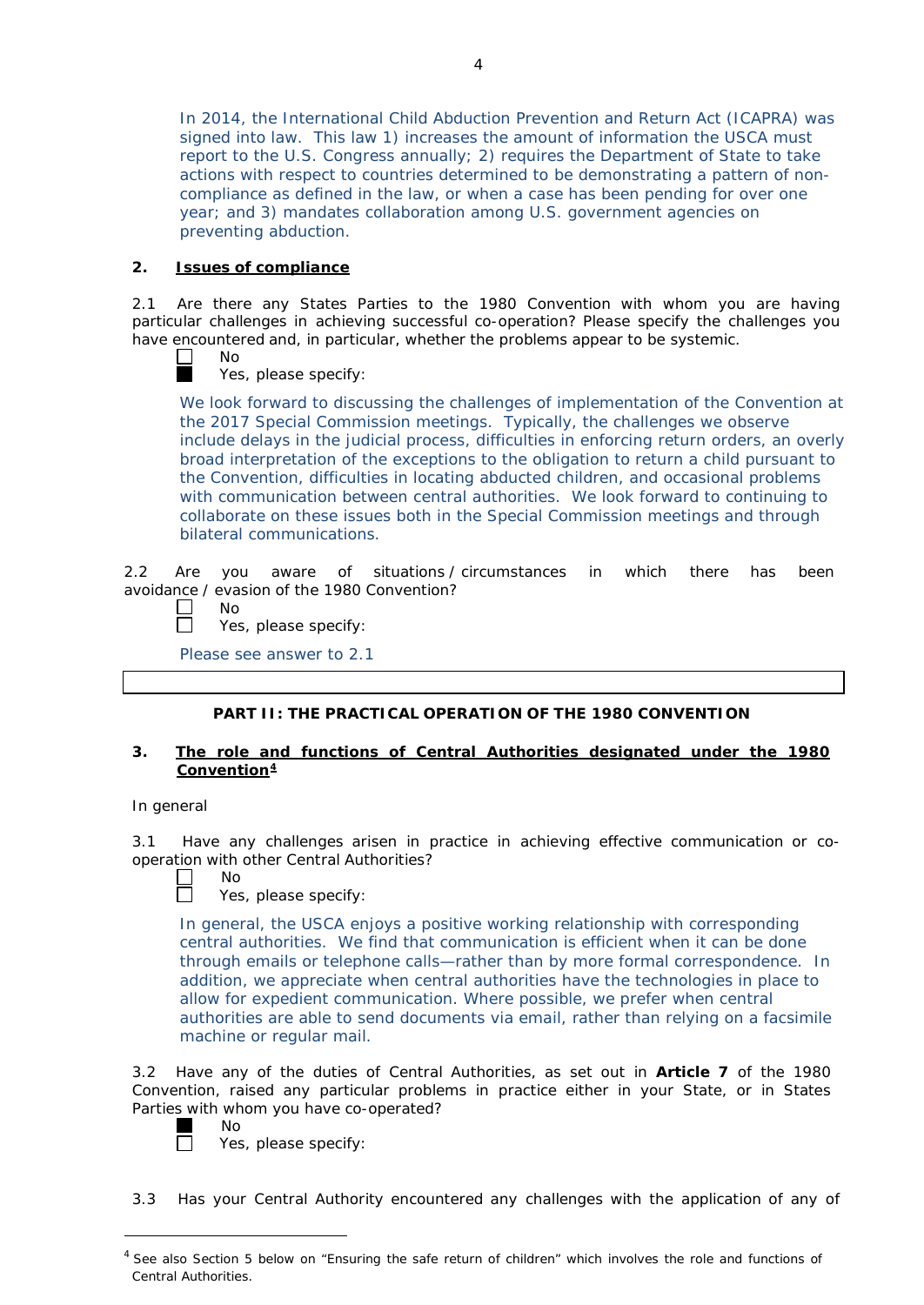In 2014, the International Child Abduction Prevention and Return Act (ICAPRA) was signed into law. This law 1) increases the amount of information the USCA must report to the U.S. Congress annually; 2) requires the Department of State to take actions with respect to countries determined to be demonstrating a pattern of noncompliance as defined in the law, or when a case has been pending for over one year; and 3) mandates collaboration among U.S. government agencies on preventing abduction.

## **2. Issues of compliance**

2.1 Are there any States Parties to the 1980 Convention with whom you are having particular challenges in achieving successful co-operation? Please specify the challenges you have encountered and, in particular, whether the problems appear to be systemic.

 $\mathbb{R}^n$ No m.

Yes, please specify:

We look forward to discussing the challenges of implementation of the Convention at the 2017 Special Commission meetings. Typically, the challenges we observe include delays in the judicial process, difficulties in enforcing return orders, an overly broad interpretation of the exceptions to the obligation to return a child pursuant to the Convention, difficulties in locating abducted children, and occasional problems with communication between central authorities. We look forward to continuing to collaborate on these issues both in the Special Commission meetings and through bilateral communications.

2.2 Are you aware of situations / circumstances in which there has been avoidance / evasion of the 1980 Convention?

No

 $\mathbf{I}$ 

П Yes, please specify:

Please see answer to 2.1

# **PART II: THE PRACTICAL OPERATION OF THE 1980 CONVENTION**

### **3. The role and functions of Central Authorities designated under the 1980 Convention[4](#page-1-0)**

### *In general*

3.1 Have any challenges arisen in practice in achieving effective communication or cooperation with other Central Authorities?

No m.

Yes, please specify:

In general, the USCA enjoys a positive working relationship with corresponding central authorities. We find that communication is efficient when it can be done through emails or telephone calls—rather than by more formal correspondence. In addition, we appreciate when central authorities have the technologies in place to allow for expedient communication. Where possible, we prefer when central authorities are able to send documents via email, rather than relying on a facsimile machine or regular mail.

3.2 Have any of the duties of Central Authorities, as set out in **Article 7** of the 1980 Convention, raised any particular problems in practice either in your State, or in States Parties with whom you have co-operated?

m П

 $\overline{a}$ 

No

Yes, please specify:

3.3 Has your Central Authority encountered any challenges with the application of any of

<span id="page-1-0"></span> $<sup>4</sup>$  See also Section 5 below on "Ensuring the safe return of children" which involves the role and functions of</sup> Central Authorities.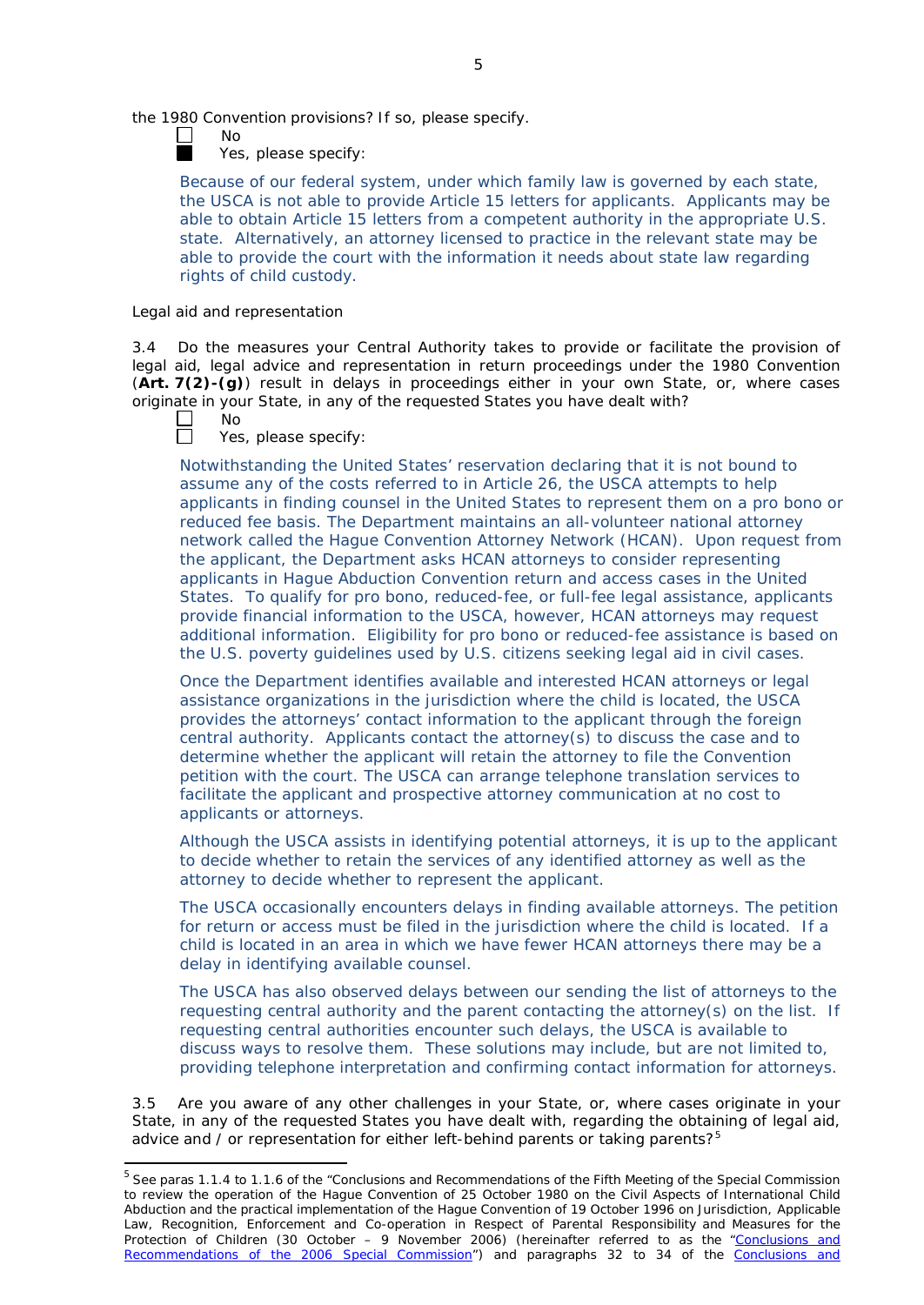the 1980 Convention provisions? If so, please specify.

No

Yes, please specify:

Because of our federal system, under which family law is governed by each state, the USCA is not able to provide Article 15 letters for applicants. Applicants may be able to obtain Article 15 letters from a competent authority in the appropriate U.S. state. Alternatively, an attorney licensed to practice in the relevant state may be able to provide the court with the information it needs about state law regarding rights of child custody.

### *Legal aid and representation*

3.4 Do the measures your Central Authority takes to provide or facilitate the provision of legal aid, legal advice and representation in return proceedings under the 1980 Convention (**Art. 7(2)-(g)**) result in delays in proceedings either in your own State, or, where cases originate in your State, in any of the requested States you have dealt with?

- $\Box$ No
- $\Box$ Yes, please specify:

Notwithstanding the United States' reservation declaring that it is not bound to assume any of the costs referred to in Article 26, the USCA attempts to help applicants in finding counsel in the United States to represent them on a pro bono or reduced fee basis. The Department maintains an all-volunteer national attorney network called the Hague Convention Attorney Network (HCAN). Upon request from the applicant, the Department asks HCAN attorneys to consider representing applicants in Hague Abduction Convention return and access cases in the United States. To qualify for pro bono, reduced-fee, or full-fee legal assistance, applicants provide financial information to the USCA, however, HCAN attorneys may request additional information. Eligibility for pro bono or reduced-fee assistance is based on the U.S. poverty guidelines used by U.S. citizens seeking legal aid in civil cases.

Once the Department identifies available and interested HCAN attorneys or legal assistance organizations in the jurisdiction where the child is located, the USCA provides the attorneys' contact information to the applicant through the foreign central authority. Applicants contact the attorney(s) to discuss the case and to determine whether the applicant will retain the attorney to file the Convention petition with the court. The USCA can arrange telephone translation services to facilitate the applicant and prospective attorney communication at no cost to applicants or attorneys.

Although the USCA assists in identifying potential attorneys, it is up to the applicant to decide whether to retain the services of any identified attorney as well as the attorney to decide whether to represent the applicant.

The USCA occasionally encounters delays in finding available attorneys. The petition for return or access must be filed in the jurisdiction where the child is located. If a child is located in an area in which we have fewer HCAN attorneys there may be a delay in identifying available counsel.

The USCA has also observed delays between our sending the list of attorneys to the requesting central authority and the parent contacting the attorney(s) on the list. If requesting central authorities encounter such delays, the USCA is available to discuss ways to resolve them. These solutions may include, but are not limited to, providing telephone interpretation and confirming contact information for attorneys.

3.5 Are you aware of any other challenges in your State, or, where cases originate in your State, in any of the requested States you have dealt with, regarding the obtaining of legal aid, advice and  $\ell$  or representation for either left-behind parents or taking parents?<sup>[5](#page-2-0)</sup>

<span id="page-2-0"></span><sup>&</sup>lt;sup>5</sup> See paras 1.1.4 to 1.1.6 of the "Conclusions and Recommendations of the Fifth Meeting of the Special Commission to review the operation of the *Hague Convention of 25 October 1980 on the Civil Aspects of International Child Abduction* and the practical implementation of the *Hague Convention of 19 October 1996 on Jurisdiction, Applicable Law, Recognition, Enforcement and Co-operation in Respect of Parental Responsibility and Measures for the Protection of Children* (30 October – 9 November 2006) (hereinafter referred to as the ["Conclusions](https://assets.hcch.net/upload/concl28sc5_e.pdf) and Recommendations of the 2006 [Special Commission"](https://assets.hcch.net/upload/concl28sc5_e.pdf)) and paragraphs 32 to 34 of the [Conclusions](https://assets.hcch.net/upload/wop/concl28sc6_e.pdf) and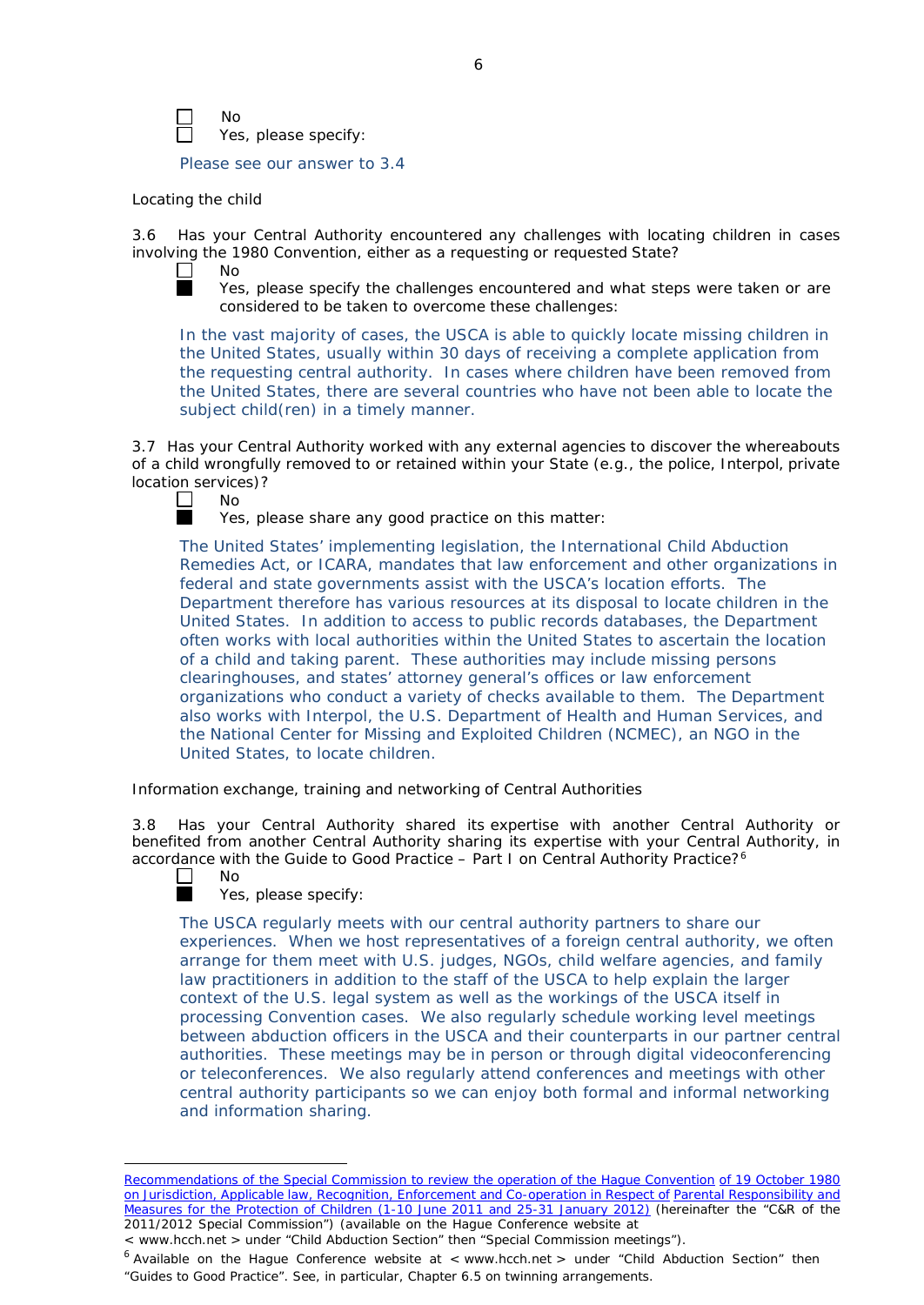No Yes, please specify:

Please see our answer to 3.4

#### *Locating the child*

3.6 Has your Central Authority encountered any challenges with locating children in cases involving the 1980 Convention, either as a requesting or requested State?<br>  $\Box$  No



No

Yes, please specify the challenges encountered and what steps were taken or are considered to be taken to overcome these challenges:

In the vast majority of cases, the USCA is able to quickly locate missing children in the United States, usually within 30 days of receiving a complete application from the requesting central authority. In cases where children have been removed from the United States, there are several countries who have not been able to locate the subject child(ren) in a timely manner.

3.7 Has your Central Authority worked with any external agencies to discover the whereabouts of a child wrongfully removed to or retained within your State (*e.g.*, the police, Interpol, private location services)?<br>  $\Box$  No



Yes, please share any good practice on this matter:

The United States' implementing legislation, the International Child Abduction Remedies Act, or ICARA, mandates that law enforcement and other organizations in federal and state governments assist with the USCA's location efforts. The Department therefore has various resources at its disposal to locate children in the United States. In addition to access to public records databases, the Department often works with local authorities within the United States to ascertain the location of a child and taking parent. These authorities may include missing persons clearinghouses, and states' attorney general's offices or law enforcement organizations who conduct a variety of checks available to them. The Department also works with Interpol, the U.S. Department of Health and Human Services, and the National Center for Missing and Exploited Children (NCMEC), an NGO in the United States, to locate children.

*Information exchange, training and networking of Central Authorities*

3.8 Has your Central Authority shared its expertise with another Central Authority or benefited from another Central Authority sharing its expertise with your Central Authority, in accordance with the Guide to Good Practice - Part I on Central Authority Practice?<sup>[6](#page-3-0)</sup>

 $\Box$ 

l

No Yes, please specify:

The USCA regularly meets with our central authority partners to share our experiences. When we host representatives of a foreign central authority, we often arrange for them meet with U.S. judges, NGOs, child welfare agencies, and family law practitioners in addition to the staff of the USCA to help explain the larger context of the U.S. legal system as well as the workings of the USCA itself in processing Convention cases. We also regularly schedule working level meetings between abduction officers in the USCA and their counterparts in our partner central authorities. These meetings may be in person or through digital videoconferencing or teleconferences. We also regularly attend conferences and meetings with other central authority participants so we can enjoy both formal and informal networking and information sharing.

[Recommendations](https://assets.hcch.net/upload/wop/concl28sc6_e.pdf) of the Special Commission to review the operation of the Hague Convention of *19 [October](https://assets.hcch.net/upload/wop/concl28sc6_e.pdf) 1980 on Jurisdiction, Applicable law, Recognition, Enforcement and [Co-operation in Respect of](https://assets.hcch.net/upload/wop/concl28sc6_e.pdf) Parental [Responsibility](https://assets.hcch.net/upload/wop/concl28sc6_e.pdf) and Measures for the [Protection of](https://assets.hcch.net/upload/wop/concl28sc6_e.pdf) Children* (1-10 June 2011 and 25-31 January 2012) (hereinafter the "C&R of the 2011/2012 Special Commission") (available on the Hague Conference website at

<sup>&</sup>lt; [www.hcch.net](http://www.hcch.net/) > under "Child Abduction Section" then "Special Commission meetings").

<span id="page-3-0"></span> $6$  Available on the Hague Conference website at < [www.hcch.ne](http://www.hcch.net/)t > under "Child Abduction Section" then "Guides to Good Practice". See, in particular, Chapter 6.5 on twinning arrangements.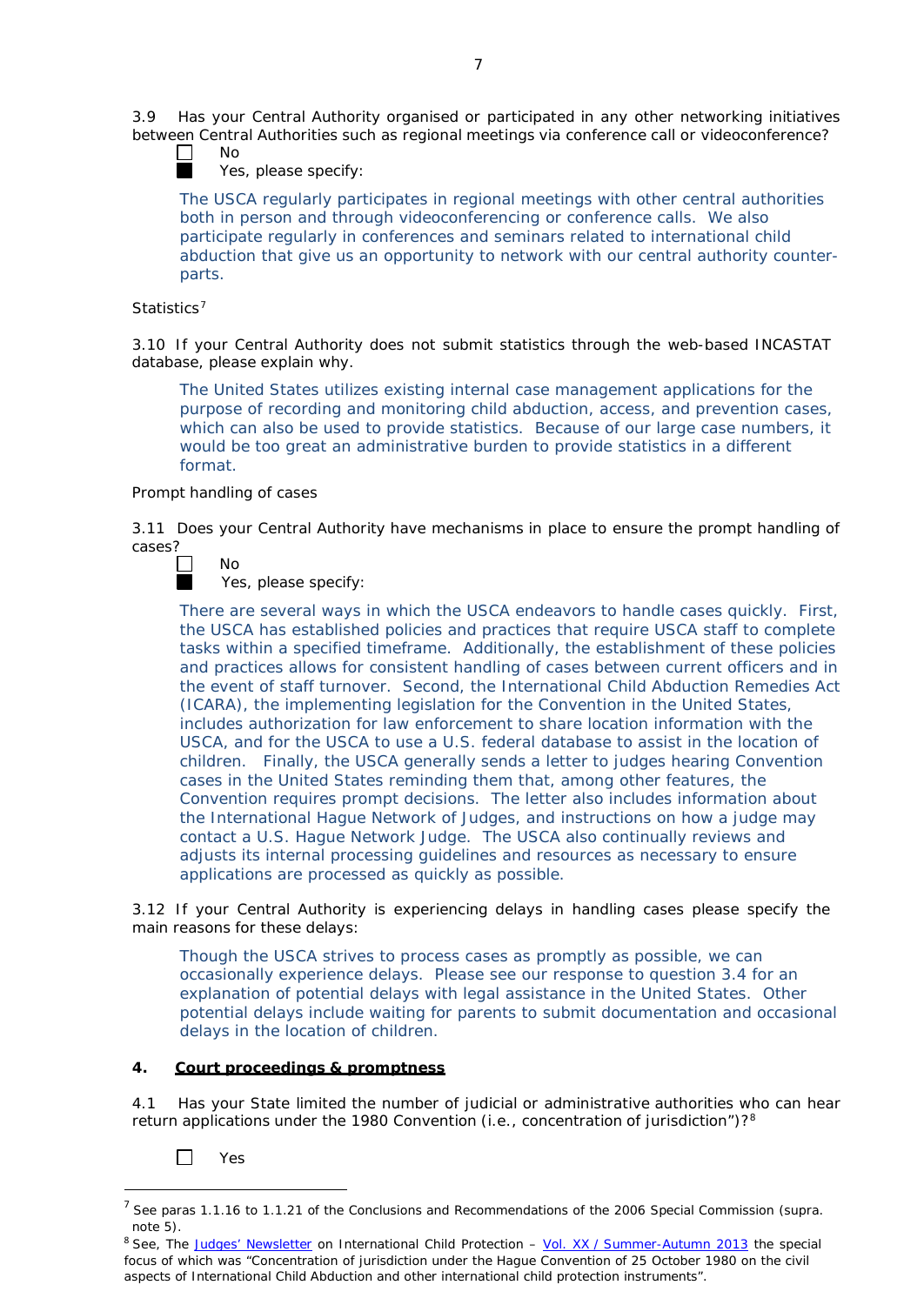3.9 Has your Central Authority organised or participated in any other networking initiatives between Central Authorities such as regional meetings via conference call or videoconference?



No

Yes, please specify:

The USCA regularly participates in regional meetings with other central authorities both in person and through videoconferencing or conference calls. We also participate regularly in conferences and seminars related to international child abduction that give us an opportunity to network with our central authority counterparts.

### *Statistics[7](#page-4-0)*

3.10 If your Central Authority does not submit statistics through the web-based INCASTAT database, please explain why.

The United States utilizes existing internal case management applications for the purpose of recording and monitoring child abduction, access, and prevention cases, which can also be used to provide statistics. Because of our large case numbers, it would be too great an administrative burden to provide statistics in a different format.

### *Prompt handling of cases*

No

3.11 Does your Central Authority have mechanisms in place to ensure the prompt handling of cases?



Yes, please specify:

There are several ways in which the USCA endeavors to handle cases quickly. First, the USCA has established policies and practices that require USCA staff to complete tasks within a specified timeframe. Additionally, the establishment of these policies and practices allows for consistent handling of cases between current officers and in the event of staff turnover. Second, the International Child Abduction Remedies Act (ICARA), the implementing legislation for the Convention in the United States, includes authorization for law enforcement to share location information with the USCA, and for the USCA to use a U.S. federal database to assist in the location of children. Finally, the USCA generally sends a letter to judges hearing Convention cases in the United States reminding them that, among other features, the Convention requires prompt decisions. The letter also includes information about the International Hague Network of Judges, and instructions on how a judge may contact a U.S. Hague Network Judge. The USCA also continually reviews and adjusts its internal processing guidelines and resources as necessary to ensure applications are processed as quickly as possible.

3.12 If your Central Authority is experiencing delays in handling cases please specify the main reasons for these delays:

Though the USCA strives to process cases as promptly as possible, we can occasionally experience delays. Please see our response to question 3.4 for an explanation of potential delays with legal assistance in the United States. Other potential delays include waiting for parents to submit documentation and occasional delays in the location of children.

### **4. Court proceedings & promptness**

4.1 Has your State limited the number of judicial or administrative authorities who can hear return applications under the 19[8](#page-4-1)0 Convention (*i.e.*, concentration of jurisdiction")?<sup>8</sup>

 $\Box$ Yes

<span id="page-4-0"></span> <sup>7</sup> See paras 1.1.16 to 1.1.21 of the Conclusions and Recommendations of the <sup>2006</sup> Special Commission (*supra.* note 5).

<span id="page-4-1"></span><sup>8</sup> See, *The Judges' [Newsletter](https://www.hcch.net/en/instruments/conventions/publications2/judges-newsletter)* on International Child Protection – Vol. XX / [Summer-Autumn](https://assets.hcch.net/upload/newsletter/nl2013tome20en.pdf) 2013 the special focus of which was "Concentration of jurisdiction under the *Hague Convention of 25 October 1980 on the civil aspects of International Child Abduction* and other international child protection instruments".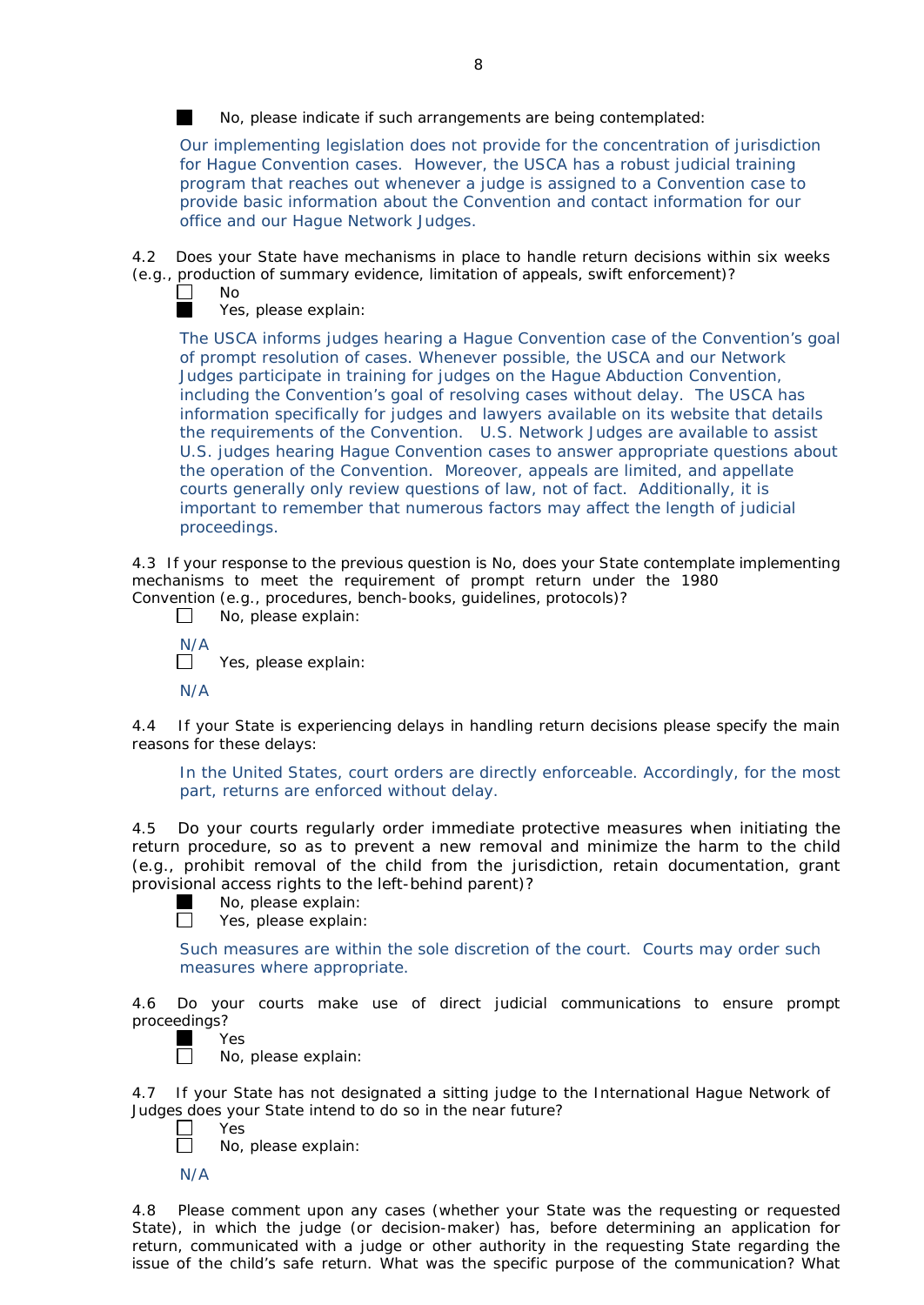No, please indicate if such arrangements are being contemplated:

Our implementing legislation does not provide for the concentration of jurisdiction for Hague Convention cases. However, the USCA has a robust judicial training program that reaches out whenever a judge is assigned to a Convention case to provide basic information about the Convention and contact information for our office and our Hague Network Judges.

Does your State have mechanisms in place to handle return decisions within six weeks (*e.g.*, production of summary evidence, limitation of appeals, swift enforcement)?



No

Yes, please explain:

The USCA informs judges hearing a Hague Convention case of the Convention's goal of prompt resolution of cases. Whenever possible, the USCA and our Network Judges participate in training for judges on the Hague Abduction Convention, including the Convention's goal of resolving cases without delay. The USCA has information specifically for judges and lawyers available on its website that details the requirements of the Convention. U.S. Network Judges are available to assist U.S. judges hearing Hague Convention cases to answer appropriate questions about the operation of the Convention. Moreover, appeals are limited, and appellate courts generally only review questions of law, not of fact. Additionally, it is important to remember that numerous factors may affect the length of judicial proceedings.

4.3 If your response to the previous question is No, does your State contemplate implementing mechanisms to meet the requirement of prompt return under the 1980 Convention (*e.g.*, procedures, bench-books, guidelines, protocols)?

- $\mathcal{L}$ No, please explain:  $\frac{N}{n}$ Yes, please explain:
- N/A

4.4 If your State is experiencing delays in handling return decisions please specify the main reasons for these delays:

In the United States, court orders are directly enforceable. Accordingly, for the most part, returns are enforced without delay.

4.5 Do your courts regularly order immediate protective measures when initiating the return procedure, so as to prevent a new removal and minimize the harm to the child (*e.g.*, prohibit removal of the child from the jurisdiction, retain documentation, grant provisional access rights to the left-behind parent)?

No, please explain:

 $\Box$ Yes, please explain:

Such measures are within the sole discretion of the court. Courts may order such measures where appropriate.

4.6 Do your courts make use of direct judicial communications to ensure prompt proceedings?

ш Yes  $\Box$ 

No, please explain:

4.7 If your State has not designated a sitting judge to the International Hague Network of Judges does your State intend to do so in the near future?

Yes

П No, please explain:

N/A

4.8 Please comment upon any cases (whether your State was the requesting or requested State), in which the judge (or decision-maker) has, before determining an application for return, communicated with a judge or other authority in the requesting State regarding the issue of the child's safe return. What was the specific purpose of the communication? What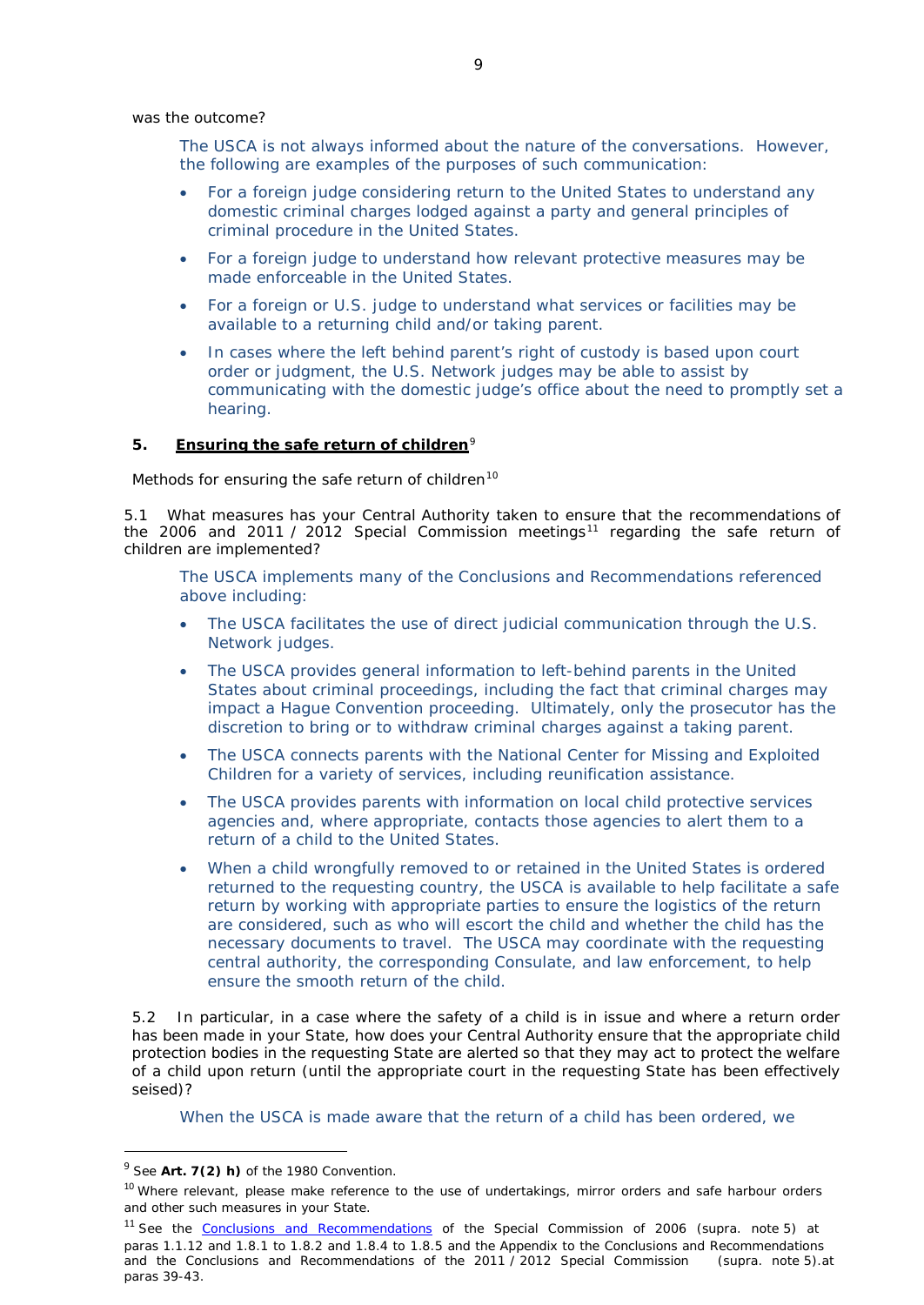was the outcome?

The USCA is not always informed about the nature of the conversations. However, the following are examples of the purposes of such communication:

- For a foreign judge considering return to the United States to understand any domestic criminal charges lodged against a party and general principles of criminal procedure in the United States.
- For a foreign judge to understand how relevant protective measures may be made enforceable in the United States.
- For a foreign or U.S. judge to understand what services or facilities may be available to a returning child and/or taking parent.
- In cases where the left behind parent's right of custody is based upon court order or judgment, the U.S. Network judges may be able to assist by communicating with the domestic judge's office about the need to promptly set a hearing.

## **5. Ensuring the safe return of children**[9](#page-6-0)

*Methods for ensuring the safe return of children[10](#page-6-1)*

5.1 What measures has your Central Authority taken to ensure that the recommendations of the 2006 and 20[11](#page-6-2) / 2012 Special Commission meetings<sup>11</sup> regarding the safe return of children are implemented?

The USCA implements many of the Conclusions and Recommendations referenced above including:

- The USCA facilitates the use of direct judicial communication through the U.S. Network judges.
- The USCA provides general information to left-behind parents in the United States about criminal proceedings, including the fact that criminal charges may impact a Hague Convention proceeding. Ultimately, only the prosecutor has the discretion to bring or to withdraw criminal charges against a taking parent.
- The USCA connects parents with the National Center for Missing and Exploited Children for a variety of services, including reunification assistance.
- The USCA provides parents with information on local child protective services agencies and, where appropriate, contacts those agencies to alert them to a return of a child to the United States.
- When a child wrongfully removed to or retained in the United States is ordered returned to the requesting country, the USCA is available to help facilitate a safe return by working with appropriate parties to ensure the logistics of the return are considered, such as who will escort the child and whether the child has the necessary documents to travel. The USCA may coordinate with the requesting central authority, the corresponding Consulate, and law enforcement, to help ensure the smooth return of the child.

5.2 In particular, in a case where the safety of a child is in issue and where a return order has been made in your State, how does your Central Authority ensure that the appropriate child protection bodies in the *requesting* State are alerted so that they may act to protect the welfare of a child upon return (until the appropriate court in the requesting State has been effectively seised)?

When the USCA is made aware that the return of a child has been ordered, we

<span id="page-6-0"></span> <sup>9</sup> See **Art. 7(2)** *h)* of the 1980 Convention.

<span id="page-6-1"></span><sup>&</sup>lt;sup>10</sup> Where relevant, please make reference to the use of undertakings, mirror orders and safe harbour orders and other such measures in your State.

<span id="page-6-2"></span><sup>11</sup> See the Conclusions and [Recommendations](https://assets.hcch.net/upload/concl28sc5_e.pdf) of the Special Commission of 2006 (*supra.* note 5) at paras 1.1.12 and 1.8.1 to 1.8.2 and 1.8.4 to 1.8.5 and the Appendix to the Conclusions and Recommendations and the [Conclusions and Recommendations of the 2011](https://assets.hcch.net/upload/wop/concl28sc6_e.pdf) / 2012 Special Commission (*supra.* note 5).at paras 39-43.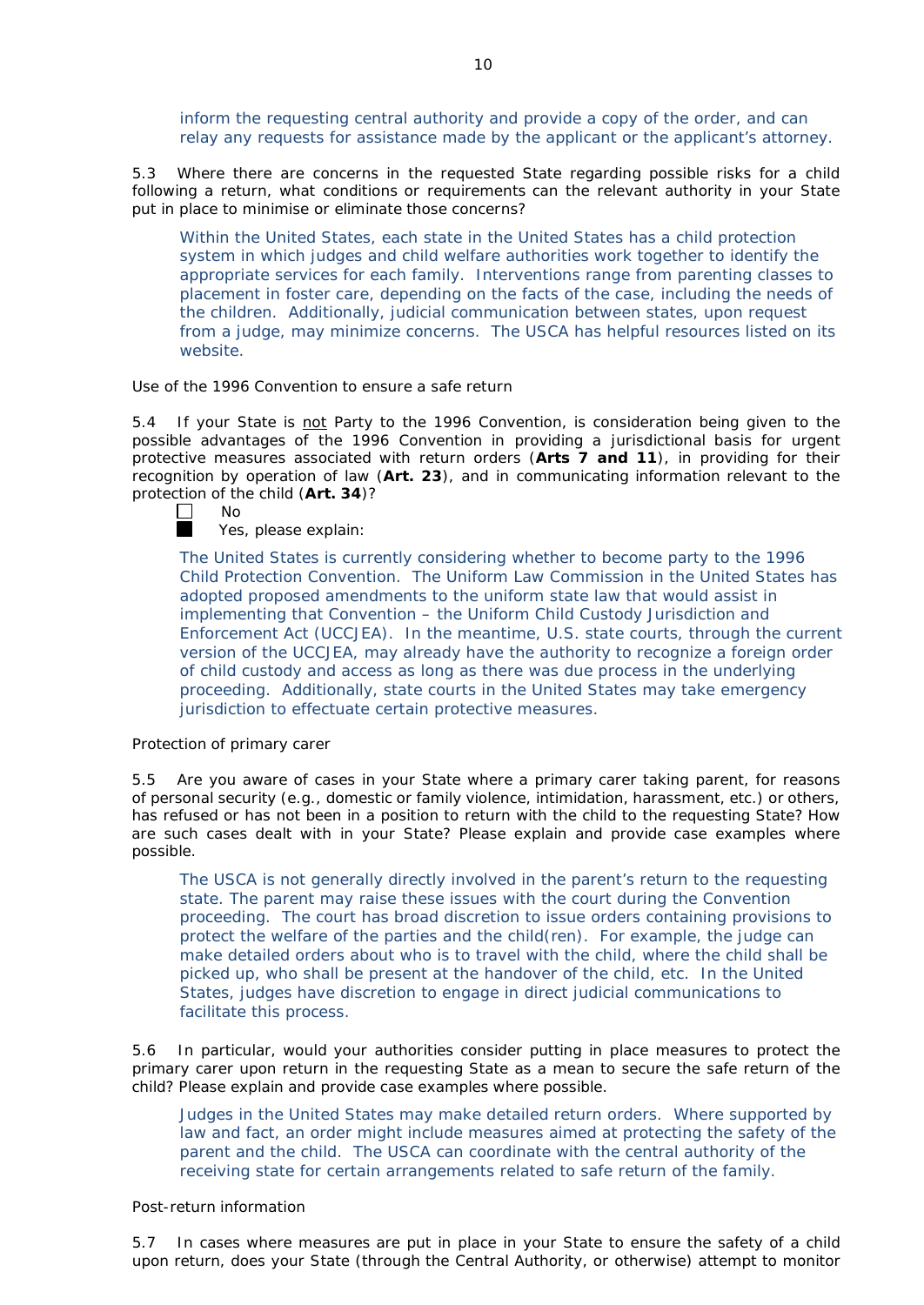inform the requesting central authority and provide a copy of the order, and can relay any requests for assistance made by the applicant or the applicant's attorney.

5.3 Where there are concerns in the requested State regarding possible risks for a child following a return, what conditions or requirements can the relevant authority in your State put in place to minimise or eliminate those concerns?

Within the United States, each state in the United States has a child protection system in which judges and child welfare authorities work together to identify the appropriate services for each family. Interventions range from parenting classes to placement in foster care, depending on the facts of the case, including the needs of the children. Additionally, judicial communication between states, upon request from a judge, may minimize concerns. The USCA has helpful resources listed on its website.

### *Use of the 1996 Convention to ensure a safe return*

5.4 If your State is not Party to the 1996 Convention, is consideration being given to the possible advantages of the 1996 Convention in providing a jurisdictional basis for urgent protective measures associated with return orders (**Arts 7 and 11**), in providing for their recognition by operation of law (**Art. 23**), and in communicating information relevant to the protection of the child (Art. 34)?<br>  $\Box$  No



No

Yes, please explain:

The United States is currently considering whether to become party to the 1996 Child Protection Convention. The Uniform Law Commission in the United States has adopted proposed amendments to the uniform state law that would assist in implementing that Convention – the Uniform Child Custody Jurisdiction and Enforcement Act (UCCJEA). In the meantime, U.S. state courts, through the current version of the UCCJEA, may already have the authority to recognize a foreign order of child custody and access as long as there was due process in the underlying proceeding. Additionally, state courts in the United States may take emergency jurisdiction to effectuate certain protective measures.

#### *Protection of primary carer*

5.5 Are you aware of cases in your State where a primary carer taking parent, for reasons of personal security (*e.g.*, domestic or family violence, intimidation, harassment, etc.) or others, has refused or has not been in a position to return with the child to the requesting State? How are such cases dealt with in your State? Please explain and provide case examples where possible.

The USCA is not generally directly involved in the parent's return to the requesting state. The parent may raise these issues with the court during the Convention proceeding. The court has broad discretion to issue orders containing provisions to protect the welfare of the parties and the child(ren). For example, the judge can make detailed orders about who is to travel with the child, where the child shall be picked up, who shall be present at the handover of the child, etc. In the United States, judges have discretion to engage in direct judicial communications to facilitate this process.

5.6 In particular, would your authorities consider putting in place measures to protect the primary carer upon return in the requesting State as a mean to secure the safe return of the child? Please explain and provide case examples where possible.

Judges in the United States may make detailed return orders. Where supported by law and fact, an order might include measures aimed at protecting the safety of the parent and the child. The USCA can coordinate with the central authority of the receiving state for certain arrangements related to safe return of the family.

### *Post-return information*

5.7 In cases where measures are put in place in your State to ensure the safety of a child upon return, does your State (through the Central Authority, or otherwise) attempt to monitor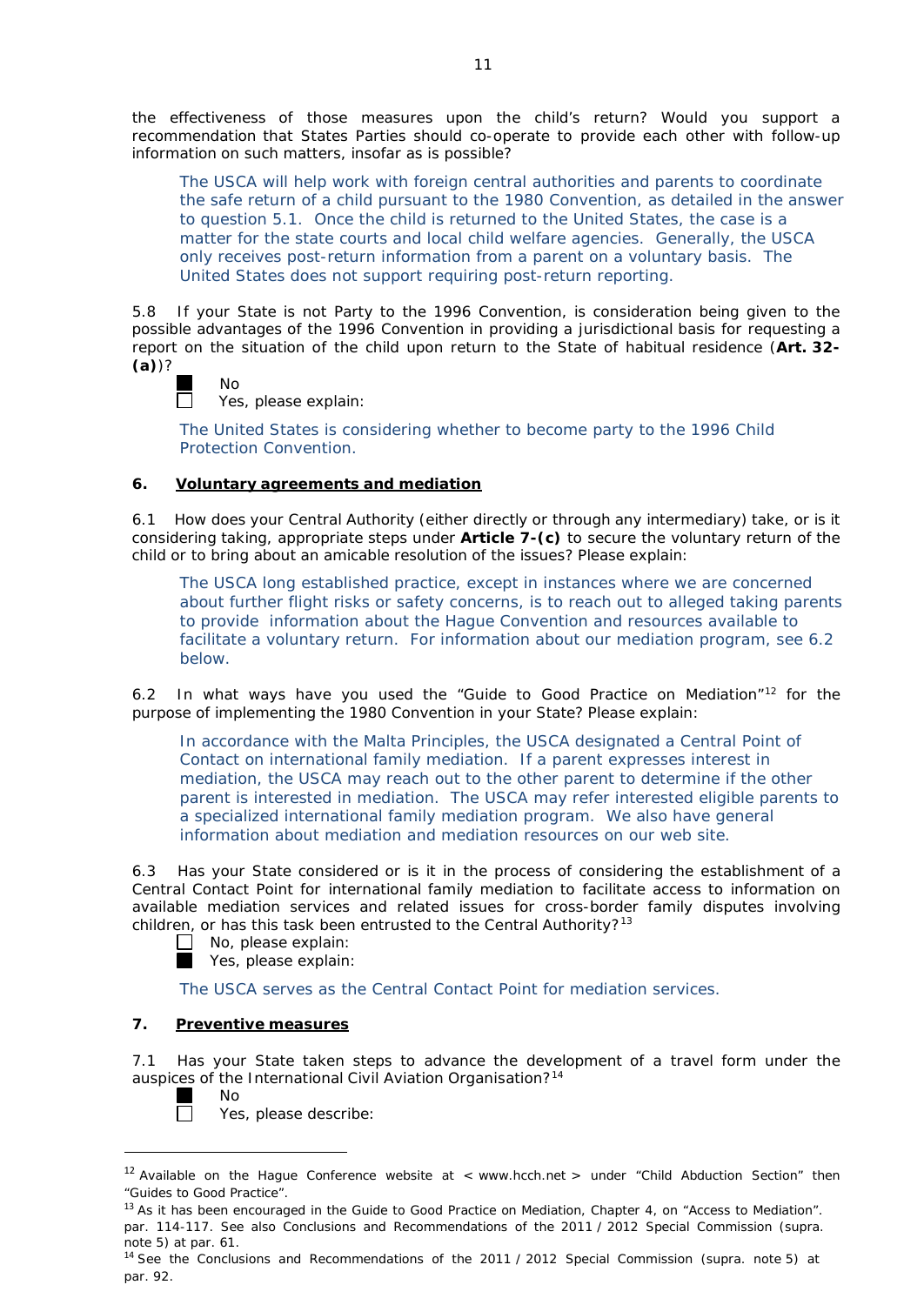the effectiveness of those measures upon the child's return? Would you support a recommendation that States Parties should co-operate to provide each other with follow-up information on such matters, insofar as is possible?

The USCA will help work with foreign central authorities and parents to coordinate the safe return of a child pursuant to the 1980 Convention, as detailed in the answer to question 5.1. Once the child is returned to the United States, the case is a matter for the state courts and local child welfare agencies. Generally, the USCA only receives post-return information from a parent on a voluntary basis. The United States does not support requiring post-return reporting.

5.8 If your State is not Party to the 1996 Convention, is consideration being given to the possible advantages of the 1996 Convention in providing a jurisdictional basis for requesting a report on the situation of the child upon return to the State of habitual residence (**Art. 32- (a)**)?

### No  $\Box$

Yes, please explain:

The United States is considering whether to become party to the 1996 Child Protection Convention.

## **6. Voluntary agreements and mediation**

6.1 How does your Central Authority (either directly or through any intermediary) take, or is it considering taking, appropriate steps under **Article 7-(c)** to secure the voluntary return of the child or to bring about an amicable resolution of the issues? Please explain:

The USCA long established practice, except in instances where we are concerned about further flight risks or safety concerns, is to reach out to alleged taking parents to provide information about the Hague Convention and resources available to facilitate a voluntary return. For information about our mediation program, see 6.2 below.

6.2 In what ways have you used the "Guide to Good Practice on Mediation"[12](#page-8-0) for the purpose of implementing the 1980 Convention in your State? Please explain:

In accordance with the Malta Principles, the USCA designated a Central Point of Contact on international family mediation. If a parent expresses interest in mediation, the USCA may reach out to the other parent to determine if the other parent is interested in mediation. The USCA may refer interested eligible parents to a specialized international family mediation program. We also have general information about mediation and mediation resources on our web site.

6.3 Has your State considered or is it in the process of considering the establishment of a Central Contact Point for international family mediation to facilitate access to information on available mediation services and related issues for cross-border family disputes involving children, or has this task been entrusted to the Central Authority?<sup>[13](#page-8-1)</sup>

- $\Box$  No, please explain:
- Yes, please explain:

The USCA serves as the Central Contact Point for mediation services.

## **7. Preventive measures**

No

7.1 Has your State taken steps to advance the development of a travel form under the auspices of the International Civil Aviation Organisation?<sup>[14](#page-8-2)</sup>

m  $\Box$ 

l

Yes, please describe:

<span id="page-8-0"></span> $12$  Available on the Hague Conference website at < [www.hcch.ne](http://www.hcch.net/)t > under "Child Abduction Section" then "Guides to Good Practice".

<span id="page-8-1"></span><sup>&</sup>lt;sup>13</sup> As it has been encouraged in the Guide to Good Practice on Mediation, Chapter 4, on "Access to Mediation". par. 114-117. See also Conclusions and [Recommendations](https://assets.hcch.net/upload/wop/concl28sc6_e.pdf) of the 2011 / 2012 Special Commission (*supra.*  note 5) at par. 61.

<span id="page-8-2"></span><sup>14</sup> See the Conclusions and [Recommendations](https://assets.hcch.net/upload/wop/concl28sc6_e.pdf) of the 2011 / 2012 Special Commission (*supra.* note 5) at par. 92.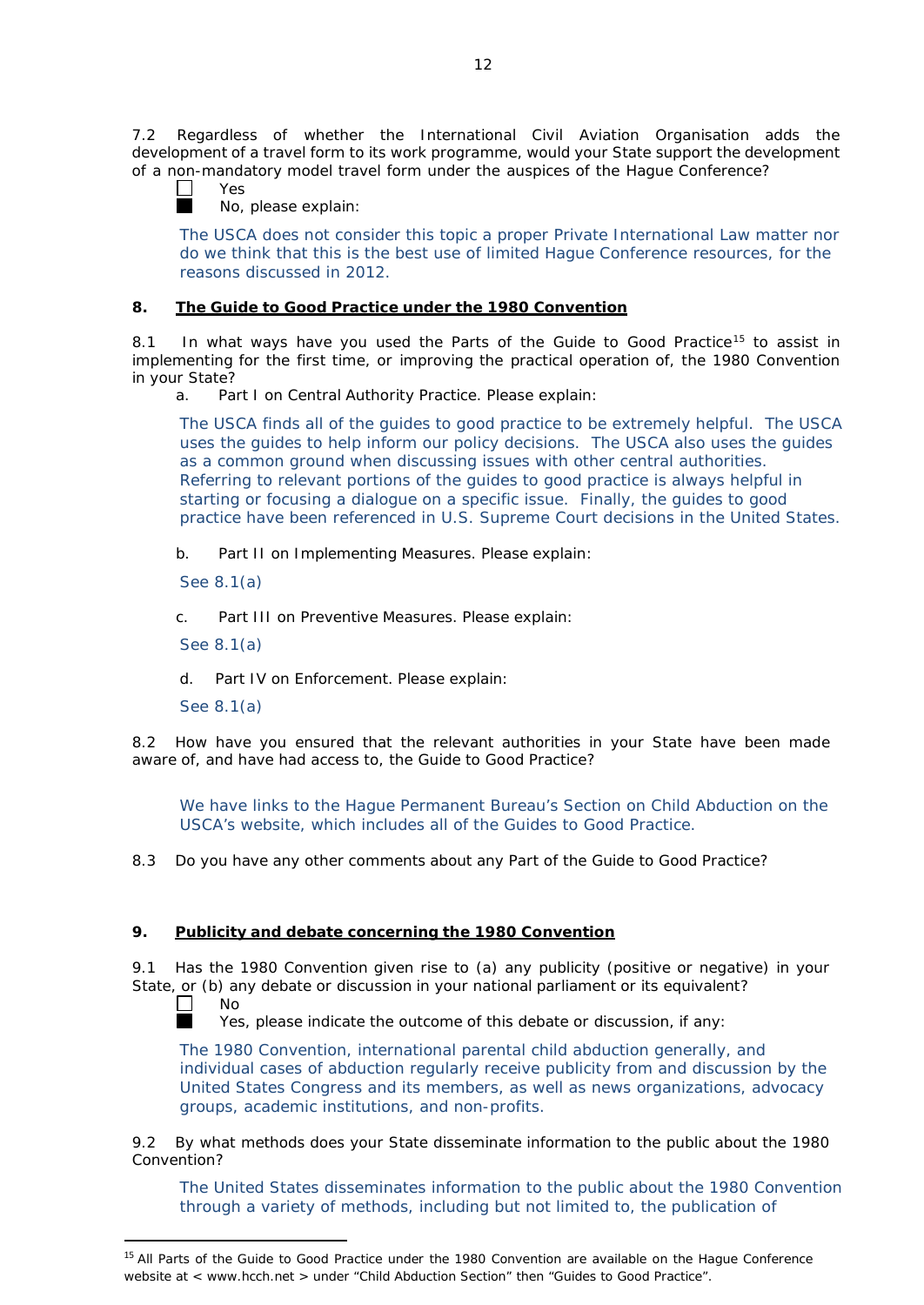7.2 Regardless of whether the International Civil Aviation Organisation adds the development of a travel form to its work programme, would your State support the development of a non-mandatory model travel form under the auspices of the Hague Conference?<br>  $\Box$  Yes



Yes

No, please explain:

The USCA does not consider this topic a proper Private International Law matter nor do we think that this is the best use of limited Hague Conference resources, for the reasons discussed in 2012.

## **8. The Guide to Good Practice under the 1980 Convention**

8.1 In what ways have you used the Parts of the Guide to Good Practice<sup>[15](#page-9-0)</sup> to assist in implementing for the first time, or improving the practical operation of, the 1980 Convention in your State?

a. Part I on Central Authority Practice. Please explain:

The USCA finds all of the guides to good practice to be extremely helpful. The USCA uses the guides to help inform our policy decisions. The USCA also uses the guides as a common ground when discussing issues with other central authorities. Referring to relevant portions of the guides to good practice is always helpful in starting or focusing a dialogue on a specific issue. Finally, the guides to good practice have been referenced in U.S. Supreme Court decisions in the United States.

b. Part II on Implementing Measures. Please explain:

See 8.1(a)

c. Part III on Preventive Measures. Please explain:

See 8.1(a)

d. Part IV on Enforcement. Please explain:

See 8.1(a)

8.2 How have you ensured that the relevant authorities in your State have been made aware of, and have had access to, the Guide to Good Practice?

We have links to the Hague Permanent Bureau's Section on Child Abduction on the USCA's website, which includes all of the Guides to Good Practice.

8.3 Do you have any other comments about any Part of the Guide to Good Practice?

## **9. Publicity and debate concerning the 1980 Convention**

9.1 Has the 1980 Convention given rise to (a) any publicity (positive or negative) in your State, or (b) any debate or discussion in your national parliament or its equivalent?

No

 $\perp$ m

Yes, please indicate the outcome of this debate or discussion, if any:

The 1980 Convention, international parental child abduction generally, and individual cases of abduction regularly receive publicity from and discussion by the United States Congress and its members, as well as news organizations, advocacy groups, academic institutions, and non-profits.

<span id="page-9-0"></span>9.2 By what methods does your State disseminate information to the public about the 1980 Convention?

The United States disseminates information to the public about the 1980 Convention through a variety of methods, including but not limited to, the publication of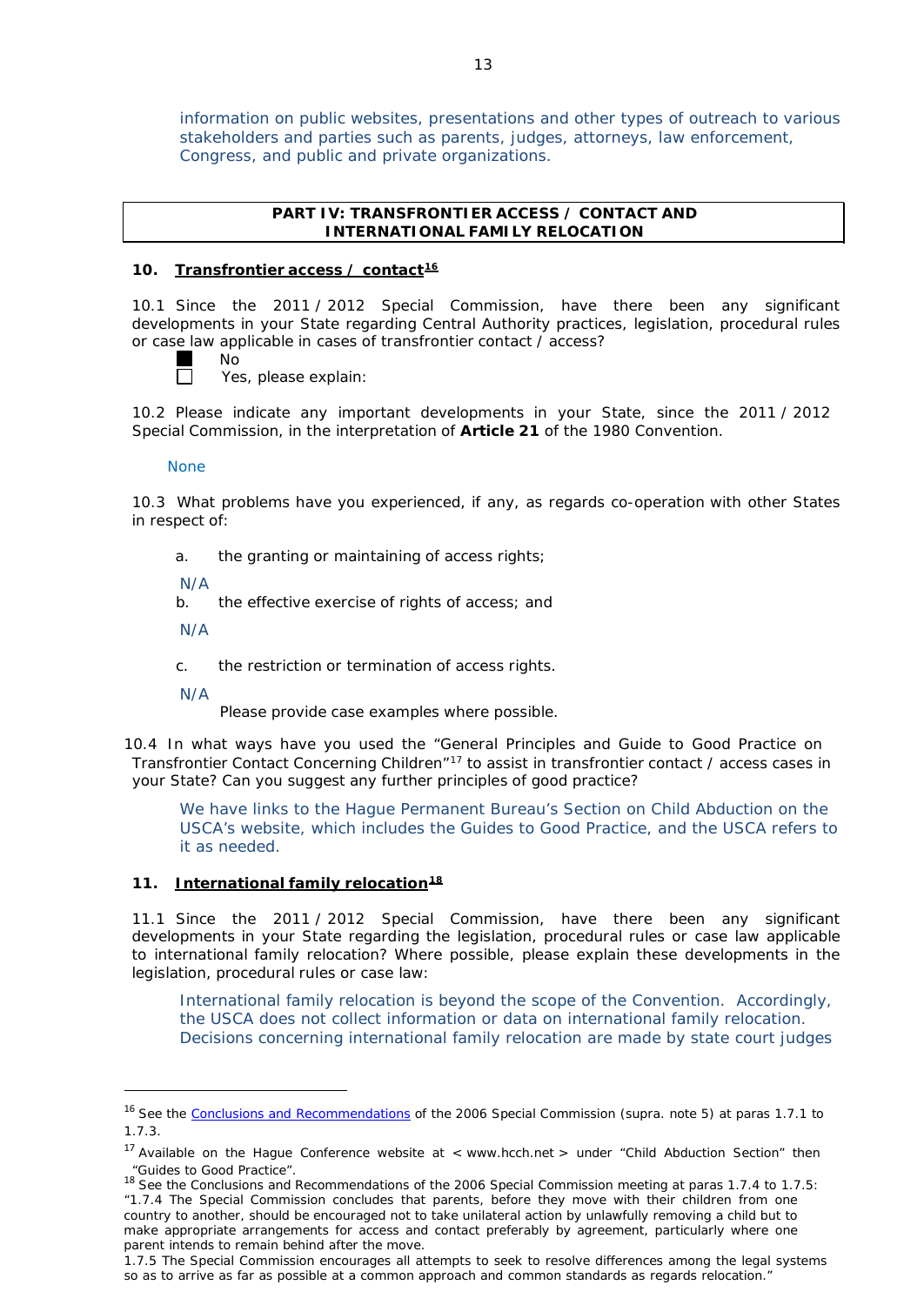information on public websites, presentations and other types of outreach to various stakeholders and parties such as parents, judges, attorneys, law enforcement, Congress, and public and private organizations.

## **PART IV: TRANSFRONTIER ACCESS / CONTACT AND INTERNATIONAL FAMILY RELOCATION**

#### **10. Transfrontier access / contact[16](#page-10-0)**

10.1 Since the 2011 / 2012 Special Commission, have there been any significant developments in your State regarding Central Authority practices, legislation, procedural rules or case law applicable in cases of transfrontier contact / access?

No П

Yes, please explain:

10.2 Please indicate any important developments in your State, since the 2011 / 2012 Special Commission, in the interpretation of **Article 21** of the 1980 Convention.

#### None

10.3 What problems have you experienced, if any, as regards co-operation with other States in respect of:

a. the granting or maintaining of access rights;

N/A

b. the effective exercise of rights of access; and

N/A

c. the restriction or termination of access rights.

N/A

 $\overline{\phantom{a}}$ 

Please provide case examples where possible.

10.4 In what ways have you used the "General Principles and Guide to Good Practice on Transfrontier Contact Concerning Children"<sup>[17](#page-10-1)</sup> to assist in transfrontier contact / access cases in your State? Can you suggest any further principles of good practice?

We have links to the Hague Permanent Bureau's Section on Child Abduction on the USCA's website, which includes the Guides to Good Practice, and the USCA refers to it as needed.

### **11. International family relocation[18](#page-10-2)**

11.1 Since the 2011 / 2012 Special Commission, have there been any significant developments in your State regarding the legislation, procedural rules or case law applicable to international family relocation? Where possible, please explain these developments in the legislation, procedural rules or case law:

International family relocation is beyond the scope of the Convention. Accordingly, the USCA does not collect information or data on international family relocation. Decisions concerning international family relocation are made by state court judges

<span id="page-10-0"></span><sup>16</sup> See the Conclusions and [Recommendations](https://assets.hcch.net/upload/concl28sc5_e.pdf) of the 2006 Special Commission (*supra.* note 5) at paras 1.7.1 to 1.7.3.

<span id="page-10-1"></span><sup>&</sup>lt;sup>17</sup> Available on the Hague Conference website at < [www.hcch.ne](http://www.hcch.net/)t > under "Child Abduction Section" then

<span id="page-10-2"></span><sup>&</sup>quot;Guides to Good Practice".<br><sup>18</sup> See the Conclusions and Recommendations of the 2006 Special Commission meeting at paras 1.7.4 to 1.7.5: *"*1.7.4 The Special Commission concludes that parents, before they move with their children from one country to another, should be encouraged not to take unilateral action by unlawfully removing a child but to make appropriate arrangements for access and contact preferably by agreement, particularly where one parent intends to remain behind after the move.

<sup>1.7.5</sup> The Special Commission encourages all attempts to seek to resolve differences among the legal systems so as to arrive as far as possible at a common approach and common standards as regards relocation."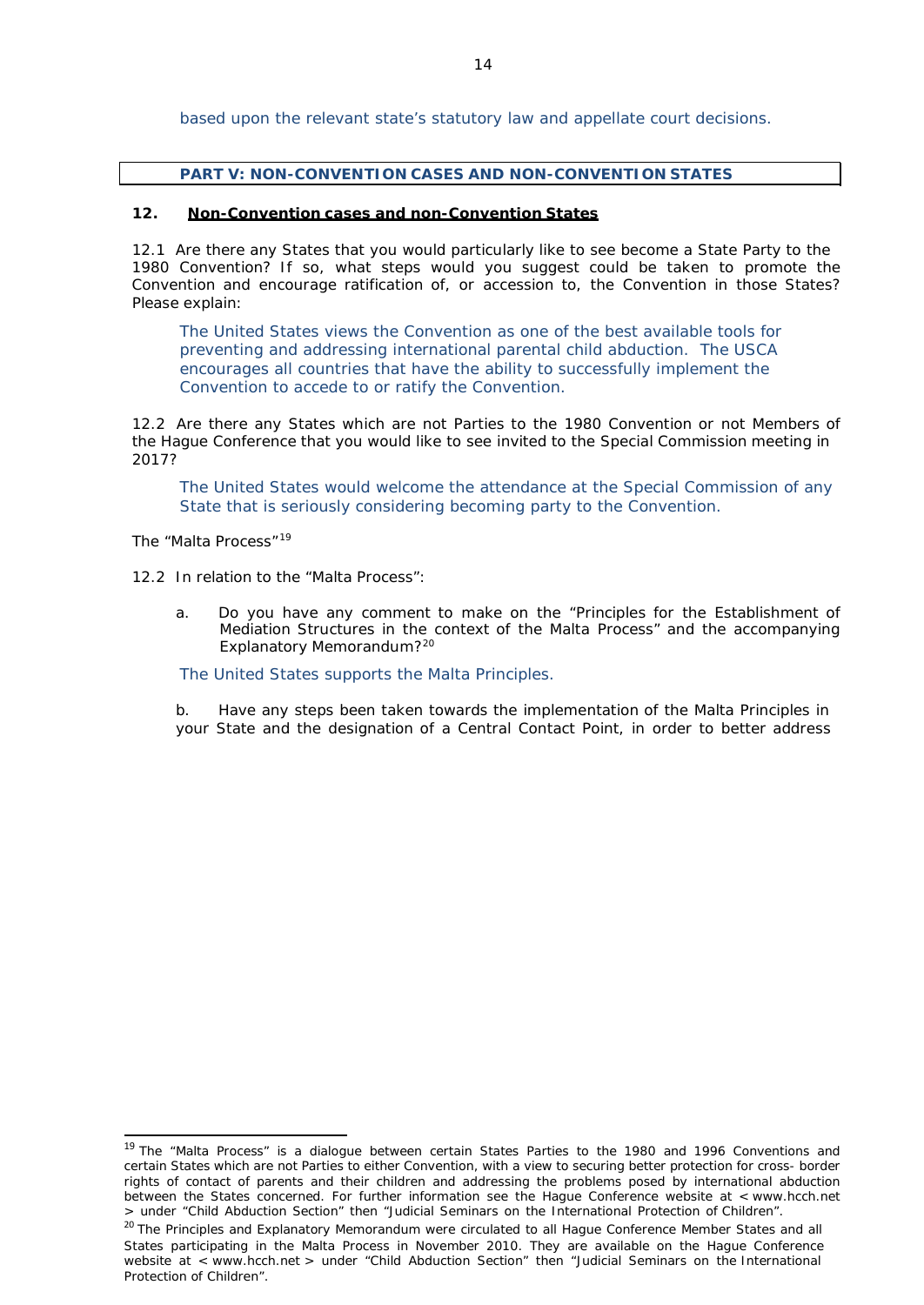based upon the relevant state's statutory law and appellate court decisions.

### **PART V: NON-CONVENTION CASES AND NON-CONVENTION STATES**

### **12. Non-Convention cases and non-Convention States**

12.1 Are there any States that you would particularly like to see become a State Party to the 1980 Convention? If so, what steps would you suggest could be taken to promote the Convention and encourage ratification of, or accession to, the Convention in those States? Please explain:

The United States views the Convention as one of the best available tools for preventing and addressing international parental child abduction. The USCA encourages all countries that have the ability to successfully implement the Convention to accede to or ratify the Convention.

12.2 Are there any States which are not Parties to the 1980 Convention or not Members of the Hague Conference that you would like to see invited to the Special Commission meeting in 2017?

The United States would welcome the attendance at the Special Commission of any State that is seriously considering becoming party to the Convention.

*The "Malta Process"[19](#page-11-0)*

12.2 In relation to the "Malta Process":

a. Do you have any comment to make on the "Principles for the Establishment of Mediation Structures in the context of the Malta Process" and the accompanying Explanatory Memorandum?[20](#page-11-1)

The United States supports the Malta Principles.

b. Have any steps been taken towards the implementation of the Malta Principles in your State and the designation of a Central Contact Point, in order to better address

<span id="page-11-0"></span><sup>&</sup>lt;sup>19</sup> The "Malta Process" is a dialogue between certain States Parties to the 1980 and 1996 Conventions and certain States which are not Parties to either Convention, with a view to securing better protection for cross- border rights of contact of parents and their children and addressing the problems posed by international abduction between the States concerned. For further information see the Hague Conference website at < [www.hcch.net](http://www.hcch.net/) > under "Child Abduction Section" then "Judicial Seminars on the International Protection of Children".

<span id="page-11-1"></span><sup>&</sup>lt;sup>20</sup> The Principles and Explanatory Memorandum were circulated to all Hague Conference Member States and all States participating in the Malta Process in November 2010. They are available on the Hague Conference website at < [www.hcch.net](http://www.hcch.net/) > under "Child Abduction Section" then "Judicial Seminars on the International Protection of Children".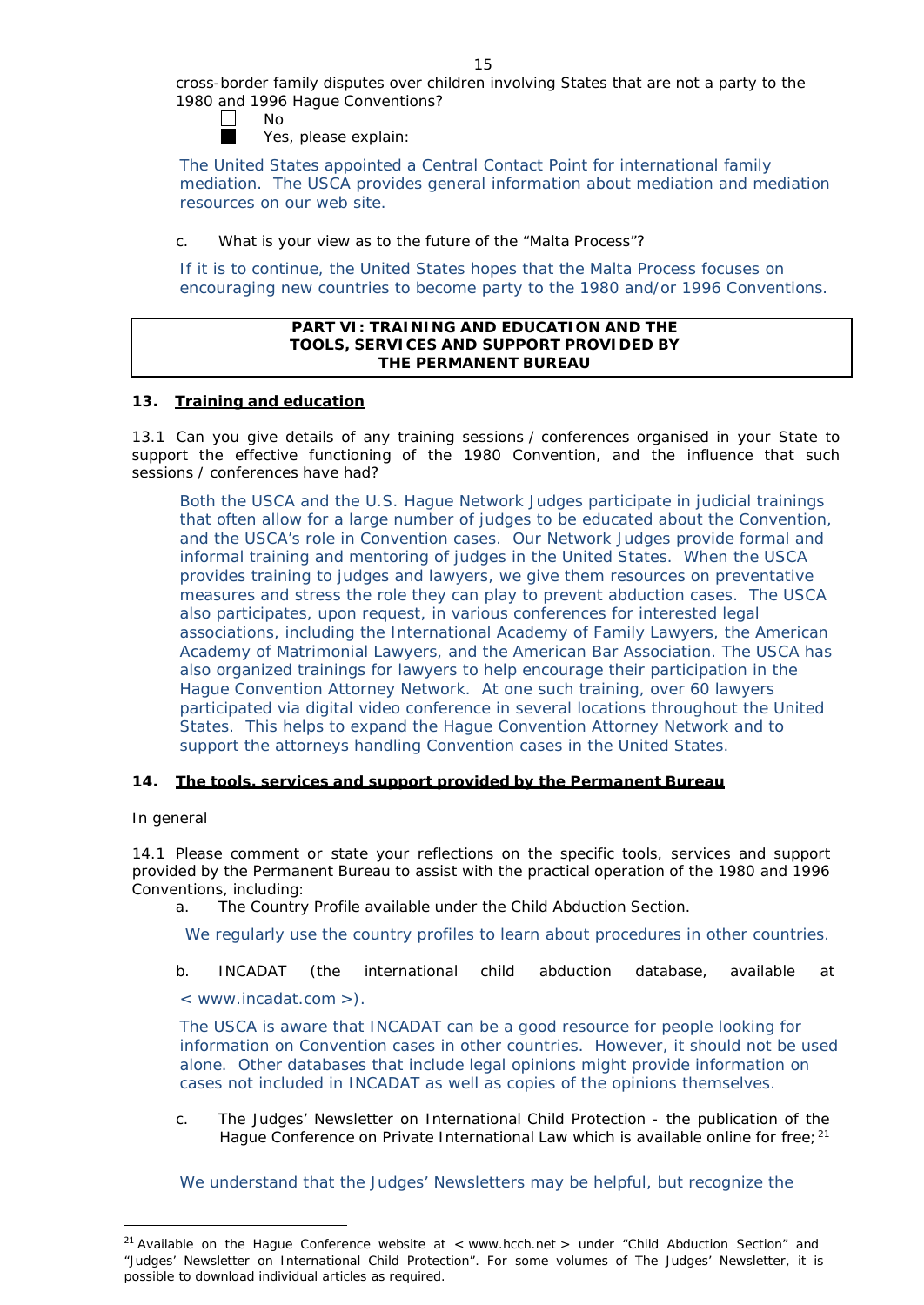cross-border family disputes over children involving States that are not a party to the 1980 and 1996 Hague Conventions?

No

Yes, please explain:

The United States appointed a Central Contact Point for international family mediation. The USCA provides general information about mediation and mediation resources on our web site.

c. What is your view as to the future of the "Malta Process"?

If it is to continue, the United States hopes that the Malta Process focuses on encouraging new countries to become party to the 1980 and/or 1996 Conventions.

### **PART VI: TRAINING AND EDUCATION AND THE TOOLS, SERVICES AND SUPPORT PROVIDED BY THE PERMANENT BUREAU**

## **13. Training and education**

13.1 Can you give details of any training sessions / conferences organised in your State to support the effective functioning of the 1980 Convention, and the influence that such sessions / conferences have had?

Both the USCA and the U.S. Hague Network Judges participate in judicial trainings that often allow for a large number of judges to be educated about the Convention, and the USCA's role in Convention cases. Our Network Judges provide formal and informal training and mentoring of judges in the United States. When the USCA provides training to judges and lawyers, we give them resources on preventative measures and stress the role they can play to prevent abduction cases. The USCA also participates, upon request, in various conferences for interested legal associations, including the International Academy of Family Lawyers, the American Academy of Matrimonial Lawyers, and the American Bar Association. The USCA has also organized trainings for lawyers to help encourage their participation in the Hague Convention Attorney Network. At one such training, over 60 lawyers participated via digital video conference in several locations throughout the United States. This helps to expand the Hague Convention Attorney Network and to support the attorneys handling Convention cases in the United States.

## **14. The tools, services and support provided by the Permanent Bureau**

### *In general*

14.1 Please comment or state your reflections on the specific tools, services and support provided by the Permanent Bureau to assist with the practical operation of the 1980 and 1996 Conventions, including:

a. The Country Profile available under the Child Abduction Section.

We regularly use the country profiles to learn about procedures in other countries.

b. INCADAT (the international child abduction database, available at

< [www.incadat.com](http://www.incadat.com/) >).

The USCA is aware that INCADAT can be a good resource for people looking for information on Convention cases in other countries. However, it should not be used alone. Other databases that include legal opinions might provide information on cases not included in INCADAT as well as copies of the opinions themselves.

c. *The Judges' Newsletter* on International Child Protection - the publication of the Hague Conference on Private International Law which is available online for free;<sup>[21](#page-12-0)</sup>

We understand that the Judges' Newsletters may be helpful, but recognize the

<span id="page-12-0"></span><sup>&</sup>lt;sup>21</sup> Available on the Hague Conference website at < [www.hcch.ne](http://www.hcch.net/)t > under "Child Abduction Section" and "Judges' Newsletter on International Child Protection". For some volumes of *The Judges' Newsletter*, it is possible to download individual articles as required.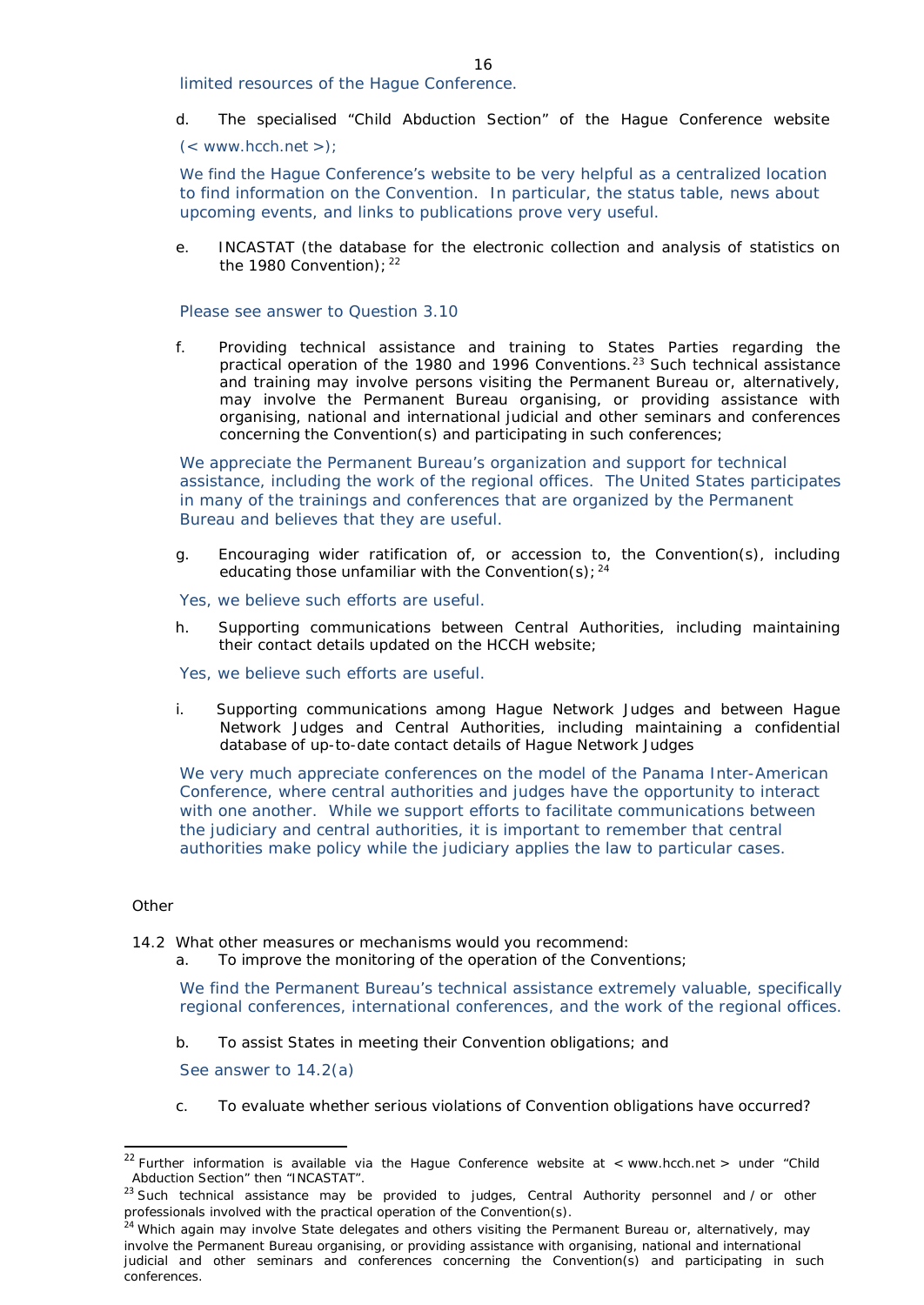limited resources of the Hague Conference.

d. The specialised "Child Abduction Section" of the Hague Conference website

 $(<$  [www.hcch.net](http://www.hcch.net/) >);

We find the Hague Conference's website to be very helpful as a centralized location to find information on the Convention. In particular, the status table, news about upcoming events, and links to publications prove very useful.

e. INCASTAT (the database for the electronic collection and analysis of statistics on the 1980 Convention):  $22$ 

Please see answer to Question 3.10

f. Providing technical assistance and training to States Parties regarding the practical operation of the 1980 and 1996 Conventions.[23](#page-13-1) Such technical assistance and training may involve persons visiting the Permanent Bureau or, alternatively, may involve the Permanent Bureau organising, or providing assistance with organising, national and international judicial and other seminars and conferences concerning the Convention(s) and participating in such conferences;

We appreciate the Permanent Bureau's organization and support for technical assistance, including the work of the regional offices. The United States participates in many of the trainings and conferences that are organized by the Permanent Bureau and believes that they are useful.

- g. Encouraging wider ratification of, or accession to, the Convention(s), including educating those unfamiliar with the Convention(s);  $24$
- Yes, we believe such efforts are useful.
- h. Supporting communications between Central Authorities, including maintaining their contact details updated on the HCCH website;
- Yes, we believe such efforts are useful.
- i. Supporting communications among Hague Network Judges and between Hague Network Judges and Central Authorities, including maintaining a confidential database of up-to-date contact details of Hague Network Judges

We very much appreciate conferences on the model of the Panama Inter-American Conference, where central authorities and judges have the opportunity to interact with one another. While we support efforts to facilitate communications between the judiciary and central authorities, it is important to remember that central authorities make policy while the judiciary applies the law to particular cases.

### *Other*

- 14.2 What other measures or mechanisms would you recommend:
	- a. To improve the monitoring of the operation of the Conventions;

We find the Permanent Bureau's technical assistance extremely valuable, specifically regional conferences, international conferences, and the work of the regional offices.

b. To assist States in meeting their Convention obligations; and

See answer to 14.2(a)

c. To evaluate whether serious violations of Convention obligations have occurred?

<span id="page-13-0"></span><sup>&</sup>lt;sup>22</sup> Further information is available via the Hague Conference website at < [www.hcch.ne](http://www.hcch.net/)t > under "Child Abduction Section" then "INCASTAT".

<span id="page-13-1"></span><sup>&</sup>lt;sup>23</sup> Such technical assistance may be provided to judges, Central Authority personnel and / or other professionals involved with the practical operation of the Convention(s).

<span id="page-13-2"></span><sup>&</sup>lt;sup>24</sup> Which again may involve State delegates and others visiting the Permanent Bureau or, alternatively, may involve the Permanent Bureau organising, or providing assistance with organising, national and international judicial and other seminars and conferences concerning the Convention(s) and participating in such conferences.